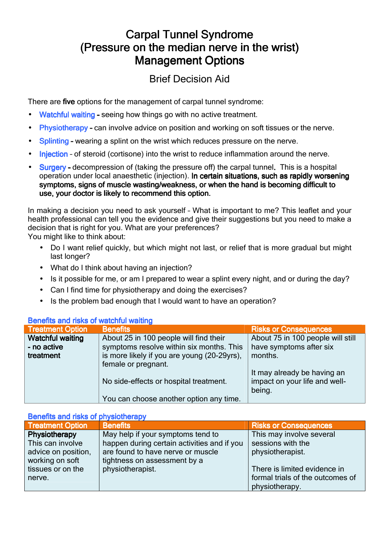## **Carpal Tunnel Syndrome** (Pressure on the median nerve in the wrist) **Management Options**

## Brief Decision Aid

There are five options for the management of carpal tunnel syndrome:

- Watchful waiting seeing how things go with no active treatment.
- Physiotherapy can involve advice on position and working on soft tissues or the nerve.
- Splinting wearing a splint on the wrist which reduces pressure on the nerve.
- Injection of steroid (cortisone) into the wrist to reduce inflammation around the nerve.
- Surgery decompression of (taking the pressure off) the carpal tunnel. This is a hospital operation under local anaesthetic (injection). In certain situations, such as rapidly worsening symptoms, signs of muscle wasting/weakness, or when the hand is becoming difficult to use, your doctor is likely to recommend this option.

In making a decision you need to ask yourself – What is important to me? This leaflet and your health professional can tell you the evidence and give their suggestions but you need to make a decision that is right for you. What are your preferences?

You might like to think about:

- Do I want relief quickly, but which might not last, or relief that is more gradual but might last longer?
- What do I think about having an injection?
- Is it possible for me, or am I prepared to wear a splint every night, and or during the day?
- Can I find time for physiotherapy and doing the exercises?
- Is the problem bad enough that I would want to have an operation?

| <b>Treatment Option</b> | <b>Benefits</b>                             | <b>Risks or Consequences</b>      |
|-------------------------|---------------------------------------------|-----------------------------------|
| <b>Watchful waiting</b> | About 25 in 100 people will find their      | About 75 in 100 people will still |
| - no active             | symptoms resolve within six months. This    | have symptoms after six           |
| treatment               | is more likely if you are young (20-29yrs), | months.                           |
|                         | female or pregnant.                         |                                   |
|                         |                                             | It may already be having an       |
|                         | No side-effects or hospital treatment.      | impact on your life and well-     |
|                         |                                             | being.                            |
|                         | You can choose another option any time.     |                                   |

## Benefits and risks of watchful waiting

## Benefits and risks of physiotherapy

| <b>Treatment Option</b> | <b>Benefits</b>                             | <b>Risks or Consequences</b>     |
|-------------------------|---------------------------------------------|----------------------------------|
| <b>Physiotherapy</b>    | May help if your symptoms tend to           | This may involve several         |
| This can involve        | happen during certain activities and if you | sessions with the                |
| advice on position,     | are found to have nerve or muscle           | physiotherapist.                 |
| working on soft         | tightness on assessment by a                |                                  |
| tissues or on the       | physiotherapist.                            | There is limited evidence in     |
| nerve.                  |                                             | formal trials of the outcomes of |
|                         |                                             | physiotherapy.                   |